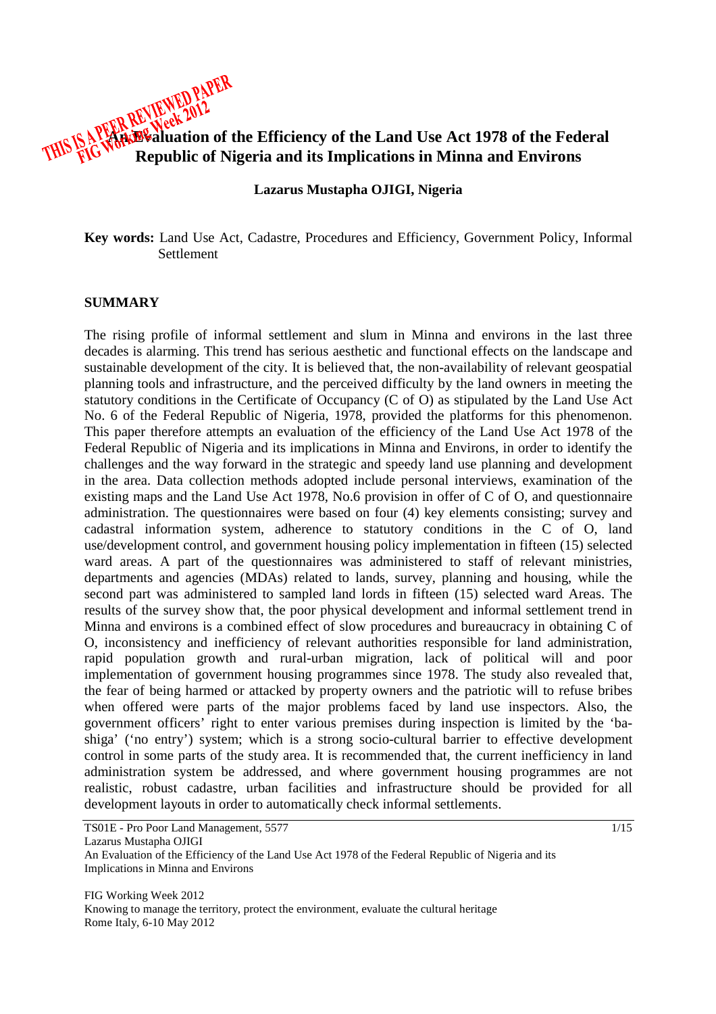**An Evaluation of the Efficiency of the Land Use Act 1978 of the Federal Republic of Nigeria and its Implications in Minna and Environs** 

#### **Lazarus Mustapha OJIGI, Nigeria**

**Key words:** Land Use Act, Cadastre, Procedures and Efficiency, Government Policy, Informal Settlement

#### **SUMMARY**

The rising profile of informal settlement and slum in Minna and environs in the last three decades is alarming. This trend has serious aesthetic and functional effects on the landscape and sustainable development of the city. It is believed that, the non-availability of relevant geospatial planning tools and infrastructure, and the perceived difficulty by the land owners in meeting the statutory conditions in the Certificate of Occupancy (C of O) as stipulated by the Land Use Act No. 6 of the Federal Republic of Nigeria, 1978, provided the platforms for this phenomenon. This paper therefore attempts an evaluation of the efficiency of the Land Use Act 1978 of the Federal Republic of Nigeria and its implications in Minna and Environs, in order to identify the challenges and the way forward in the strategic and speedy land use planning and development in the area. Data collection methods adopted include personal interviews, examination of the existing maps and the Land Use Act 1978, No.6 provision in offer of C of O, and questionnaire administration. The questionnaires were based on four (4) key elements consisting; survey and cadastral information system, adherence to statutory conditions in the C of O, land use/development control, and government housing policy implementation in fifteen (15) selected ward areas. A part of the questionnaires was administered to staff of relevant ministries, departments and agencies (MDAs) related to lands, survey, planning and housing, while the second part was administered to sampled land lords in fifteen (15) selected ward Areas. The results of the survey show that, the poor physical development and informal settlement trend in Minna and environs is a combined effect of slow procedures and bureaucracy in obtaining C of O, inconsistency and inefficiency of relevant authorities responsible for land administration, rapid population growth and rural-urban migration, lack of political will and poor implementation of government housing programmes since 1978. The study also revealed that, the fear of being harmed or attacked by property owners and the patriotic will to refuse bribes when offered were parts of the major problems faced by land use inspectors. Also, the government officers' right to enter various premises during inspection is limited by the 'bashiga' ('no entry') system; which is a strong socio-cultural barrier to effective development control in some parts of the study area. It is recommended that, the current inefficiency in land administration system be addressed, and where government housing programmes are not realistic, robust cadastre, urban facilities and infrastructure should be provided for all development layouts in order to automatically check informal settlements.

TS01E - Pro Poor Land Management, 5577 1/15 Lazarus Mustapha OJIGI An Evaluation of the Efficiency of the Land Use Act 1978 of the Federal Republic of Nigeria and its Implications in Minna and Environs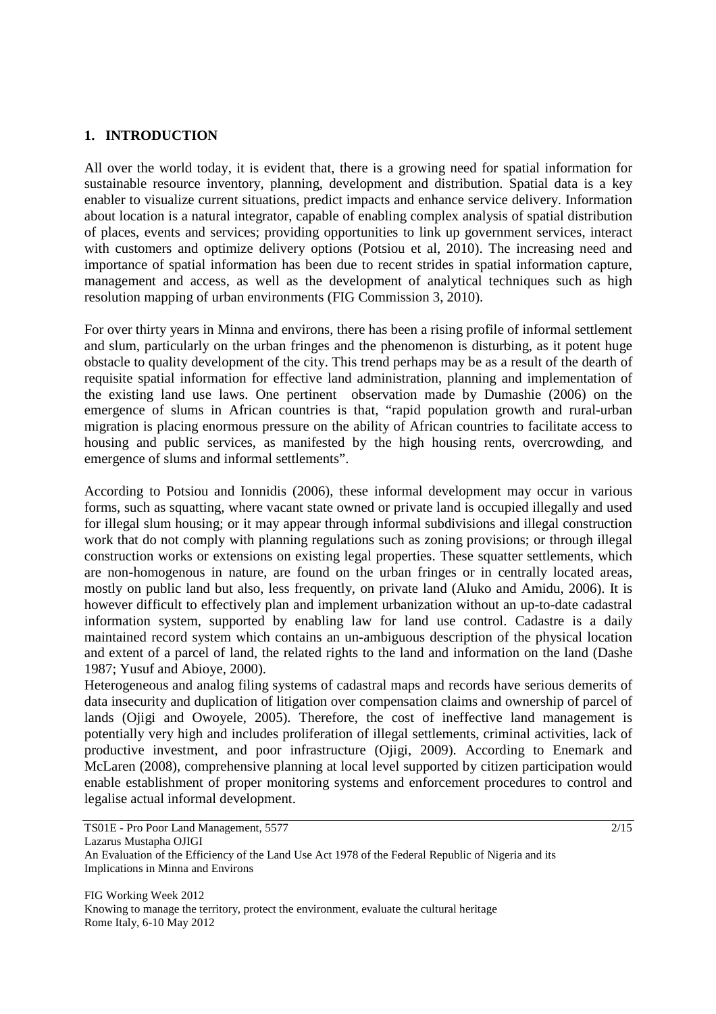# **1. INTRODUCTION**

All over the world today, it is evident that, there is a growing need for spatial information for sustainable resource inventory, planning, development and distribution. Spatial data is a key enabler to visualize current situations, predict impacts and enhance service delivery. Information about location is a natural integrator, capable of enabling complex analysis of spatial distribution of places, events and services; providing opportunities to link up government services, interact with customers and optimize delivery options (Potsiou et al, 2010). The increasing need and importance of spatial information has been due to recent strides in spatial information capture, management and access, as well as the development of analytical techniques such as high resolution mapping of urban environments (FIG Commission 3, 2010).

For over thirty years in Minna and environs, there has been a rising profile of informal settlement and slum, particularly on the urban fringes and the phenomenon is disturbing, as it potent huge obstacle to quality development of the city. This trend perhaps may be as a result of the dearth of requisite spatial information for effective land administration, planning and implementation of the existing land use laws. One pertinent observation made by Dumashie (2006) on the emergence of slums in African countries is that, "rapid population growth and rural-urban migration is placing enormous pressure on the ability of African countries to facilitate access to housing and public services, as manifested by the high housing rents, overcrowding, and emergence of slums and informal settlements".

According to Potsiou and Ionnidis (2006), these informal development may occur in various forms, such as squatting, where vacant state owned or private land is occupied illegally and used for illegal slum housing; or it may appear through informal subdivisions and illegal construction work that do not comply with planning regulations such as zoning provisions; or through illegal construction works or extensions on existing legal properties. These squatter settlements, which are non-homogenous in nature, are found on the urban fringes or in centrally located areas, mostly on public land but also, less frequently, on private land (Aluko and Amidu, 2006). It is however difficult to effectively plan and implement urbanization without an up-to-date cadastral information system, supported by enabling law for land use control. Cadastre is a daily maintained record system which contains an un-ambiguous description of the physical location and extent of a parcel of land, the related rights to the land and information on the land (Dashe 1987; Yusuf and Abioye, 2000).

Heterogeneous and analog filing systems of cadastral maps and records have serious demerits of data insecurity and duplication of litigation over compensation claims and ownership of parcel of lands (Ojigi and Owoyele, 2005). Therefore, the cost of ineffective land management is potentially very high and includes proliferation of illegal settlements, criminal activities, lack of productive investment, and poor infrastructure (Ojigi, 2009). According to Enemark and McLaren (2008), comprehensive planning at local level supported by citizen participation would enable establishment of proper monitoring systems and enforcement procedures to control and legalise actual informal development.

TS01E - Pro Poor Land Management, 5577 2/15 Lazarus Mustapha OJIGI An Evaluation of the Efficiency of the Land Use Act 1978 of the Federal Republic of Nigeria and its Implications in Minna and Environs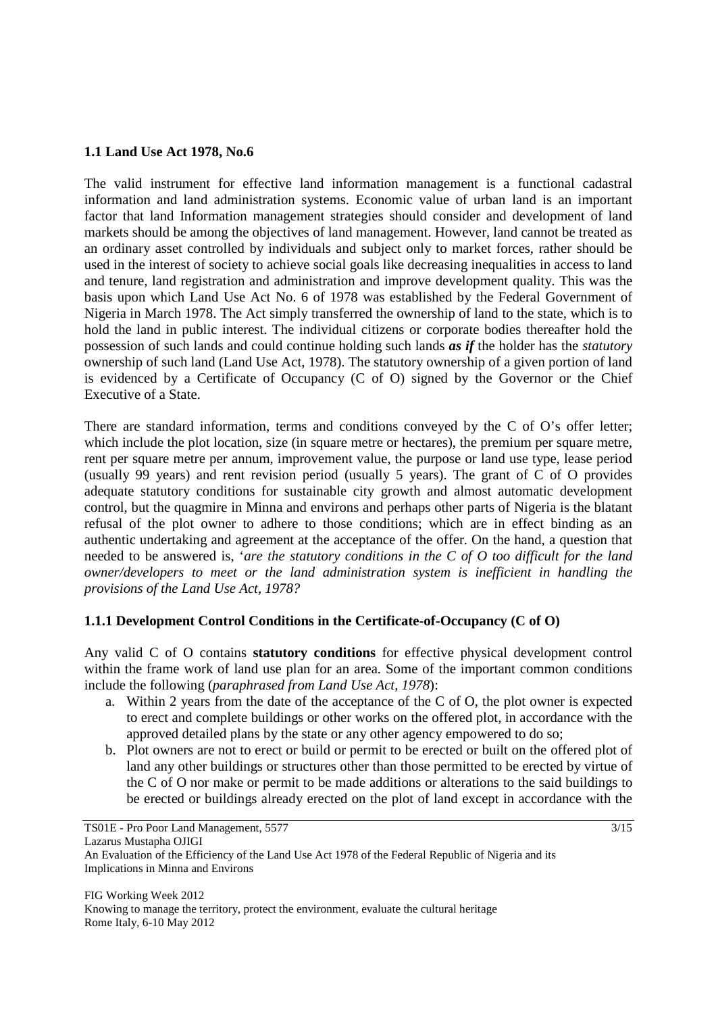# **1.1 Land Use Act 1978, No.6**

The valid instrument for effective land information management is a functional cadastral information and land administration systems. Economic value of urban land is an important factor that land Information management strategies should consider and development of land markets should be among the objectives of land management. However, land cannot be treated as an ordinary asset controlled by individuals and subject only to market forces, rather should be used in the interest of society to achieve social goals like decreasing inequalities in access to land and tenure, land registration and administration and improve development quality. This was the basis upon which Land Use Act No. 6 of 1978 was established by the Federal Government of Nigeria in March 1978. The Act simply transferred the ownership of land to the state, which is to hold the land in public interest. The individual citizens or corporate bodies thereafter hold the possession of such lands and could continue holding such lands *as if* the holder has the *statutory* ownership of such land (Land Use Act, 1978). The statutory ownership of a given portion of land is evidenced by a Certificate of Occupancy (C of O) signed by the Governor or the Chief Executive of a State.

There are standard information, terms and conditions conveyed by the C of O's offer letter; which include the plot location, size (in square metre or hectares), the premium per square metre, rent per square metre per annum, improvement value, the purpose or land use type, lease period (usually 99 years) and rent revision period (usually 5 years). The grant of C of O provides adequate statutory conditions for sustainable city growth and almost automatic development control, but the quagmire in Minna and environs and perhaps other parts of Nigeria is the blatant refusal of the plot owner to adhere to those conditions; which are in effect binding as an authentic undertaking and agreement at the acceptance of the offer. On the hand, a question that needed to be answered is, '*are the statutory conditions in the C of O too difficult for the land owner/developers to meet or the land administration system is inefficient in handling the provisions of the Land Use Act, 1978?*

# **1.1.1 Development Control Conditions in the Certificate-of-Occupancy (C of O)**

Any valid C of O contains **statutory conditions** for effective physical development control within the frame work of land use plan for an area. Some of the important common conditions include the following (*paraphrased from Land Use Act, 1978*):

- a. Within 2 years from the date of the acceptance of the C of O, the plot owner is expected to erect and complete buildings or other works on the offered plot, in accordance with the approved detailed plans by the state or any other agency empowered to do so;
- b. Plot owners are not to erect or build or permit to be erected or built on the offered plot of land any other buildings or structures other than those permitted to be erected by virtue of the C of O nor make or permit to be made additions or alterations to the said buildings to be erected or buildings already erected on the plot of land except in accordance with the

TS01E - Pro Poor Land Management, 5577 3/15

Lazarus Mustapha OJIGI

An Evaluation of the Efficiency of the Land Use Act 1978 of the Federal Republic of Nigeria and its Implications in Minna and Environs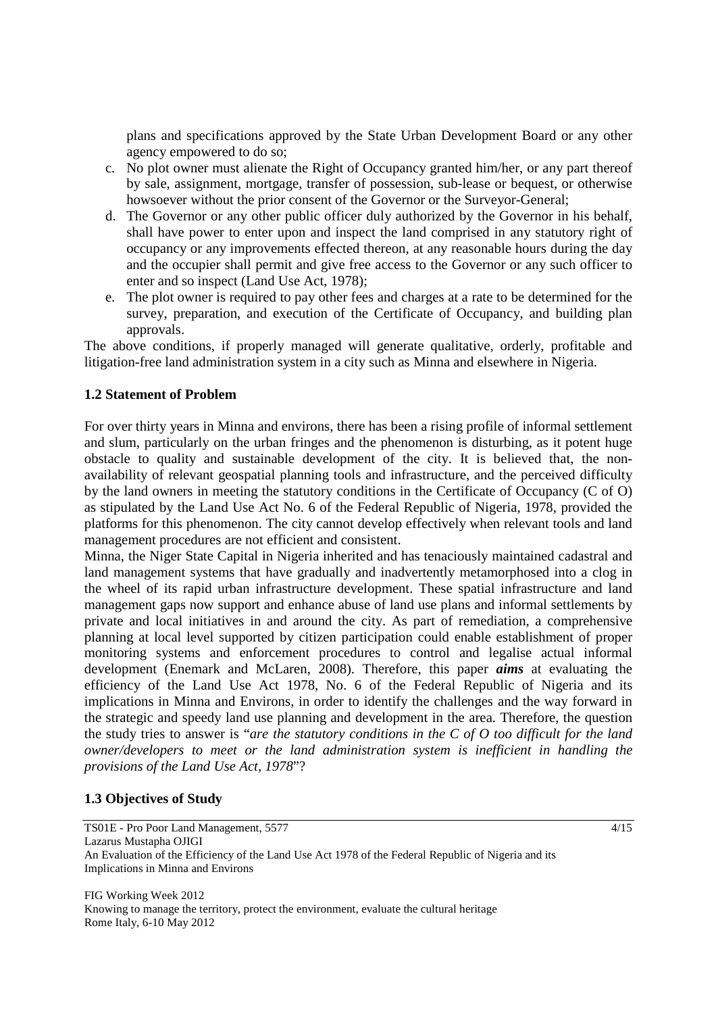plans and specifications approved by the State Urban Development Board or any other agency empowered to do so;

- c. No plot owner must alienate the Right of Occupancy granted him/her, or any part thereof by sale, assignment, mortgage, transfer of possession, sub-lease or bequest, or otherwise howsoever without the prior consent of the Governor or the Surveyor-General;
- d. The Governor or any other public officer duly authorized by the Governor in his behalf, shall have power to enter upon and inspect the land comprised in any statutory right of occupancy or any improvements effected thereon, at any reasonable hours during the day and the occupier shall permit and give free access to the Governor or any such officer to enter and so inspect (Land Use Act, 1978);
- e. The plot owner is required to pay other fees and charges at a rate to be determined for the survey, preparation, and execution of the Certificate of Occupancy, and building plan approvals.

The above conditions, if properly managed will generate qualitative, orderly, profitable and litigation-free land administration system in a city such as Minna and elsewhere in Nigeria.

# **1.2 Statement of Problem**

For over thirty years in Minna and environs, there has been a rising profile of informal settlement and slum, particularly on the urban fringes and the phenomenon is disturbing, as it potent huge obstacle to quality and sustainable development of the city. It is believed that, the nonavailability of relevant geospatial planning tools and infrastructure, and the perceived difficulty by the land owners in meeting the statutory conditions in the Certificate of Occupancy (C of O) as stipulated by the Land Use Act No. 6 of the Federal Republic of Nigeria, 1978, provided the platforms for this phenomenon. The city cannot develop effectively when relevant tools and land management procedures are not efficient and consistent.

Minna, the Niger State Capital in Nigeria inherited and has tenaciously maintained cadastral and land management systems that have gradually and inadvertently metamorphosed into a clog in the wheel of its rapid urban infrastructure development. These spatial infrastructure and land management gaps now support and enhance abuse of land use plans and informal settlements by private and local initiatives in and around the city. As part of remediation, a comprehensive planning at local level supported by citizen participation could enable establishment of proper monitoring systems and enforcement procedures to control and legalise actual informal development (Enemark and McLaren, 2008). Therefore, this paper *aims* at evaluating the efficiency of the Land Use Act 1978, No. 6 of the Federal Republic of Nigeria and its implications in Minna and Environs, in order to identify the challenges and the way forward in the strategic and speedy land use planning and development in the area. Therefore, the question the study tries to answer is "*are the statutory conditions in the C of O too difficult for the land owner/developers to meet or the land administration system is inefficient in handling the provisions of the Land Use Act, 1978*"?

# **1.3 Objectives of Study**

TS01E - Pro Poor Land Management, 5577 4/15 Lazarus Mustapha OJIGI An Evaluation of the Efficiency of the Land Use Act 1978 of the Federal Republic of Nigeria and its Implications in Minna and Environs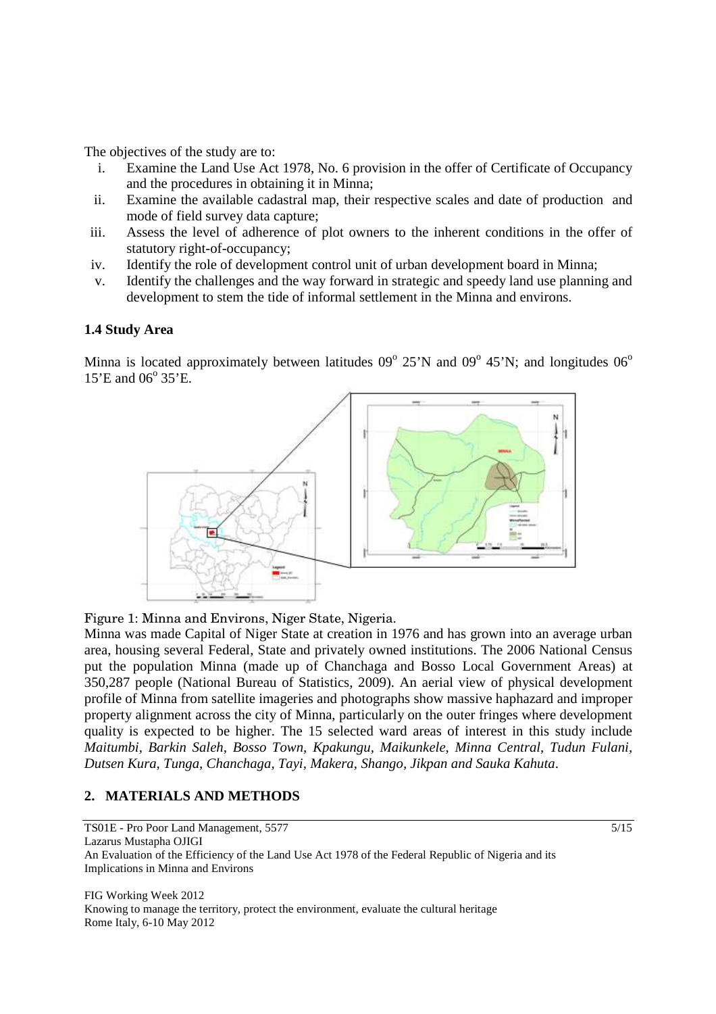The objectives of the study are to:

- i. Examine the Land Use Act 1978, No. 6 provision in the offer of Certificate of Occupancy and the procedures in obtaining it in Minna;
- ii. Examine the available cadastral map, their respective scales and date of production and mode of field survey data capture;
- iii. Assess the level of adherence of plot owners to the inherent conditions in the offer of statutory right-of-occupancy;
- iv. Identify the role of development control unit of urban development board in Minna;
- v. Identify the challenges and the way forward in strategic and speedy land use planning and development to stem the tide of informal settlement in the Minna and environs.

#### **1.4 Study Area**

Minna is located approximately between latitudes  $09^{\circ}$  25'N and  $09^{\circ}$  45'N; and longitudes  $06^{\circ}$ 15'E and 06° 35'E.



Figure 1: Minna and Environs, Niger State, Nigeria.

Minna was made Capital of Niger State at creation in 1976 and has grown into an average urban area, housing several Federal, State and privately owned institutions. The 2006 National Census put the population Minna (made up of Chanchaga and Bosso Local Government Areas) at 350,287 people (National Bureau of Statistics, 2009). An aerial view of physical development profile of Minna from satellite imageries and photographs show massive haphazard and improper property alignment across the city of Minna, particularly on the outer fringes where development quality is expected to be higher. The 15 selected ward areas of interest in this study include *Maitumbi, Barkin Saleh, Bosso Town, Kpakungu, Maikunkele, Minna Central, Tudun Fulani, Dutsen Kura, Tunga, Chanchaga, Tayi, Makera, Shango, Jikpan and Sauka Kahuta*.

# **2. MATERIALS AND METHODS**

TS01E - Pro Poor Land Management, 5577 5/15 Lazarus Mustapha OJIGI An Evaluation of the Efficiency of the Land Use Act 1978 of the Federal Republic of Nigeria and its Implications in Minna and Environs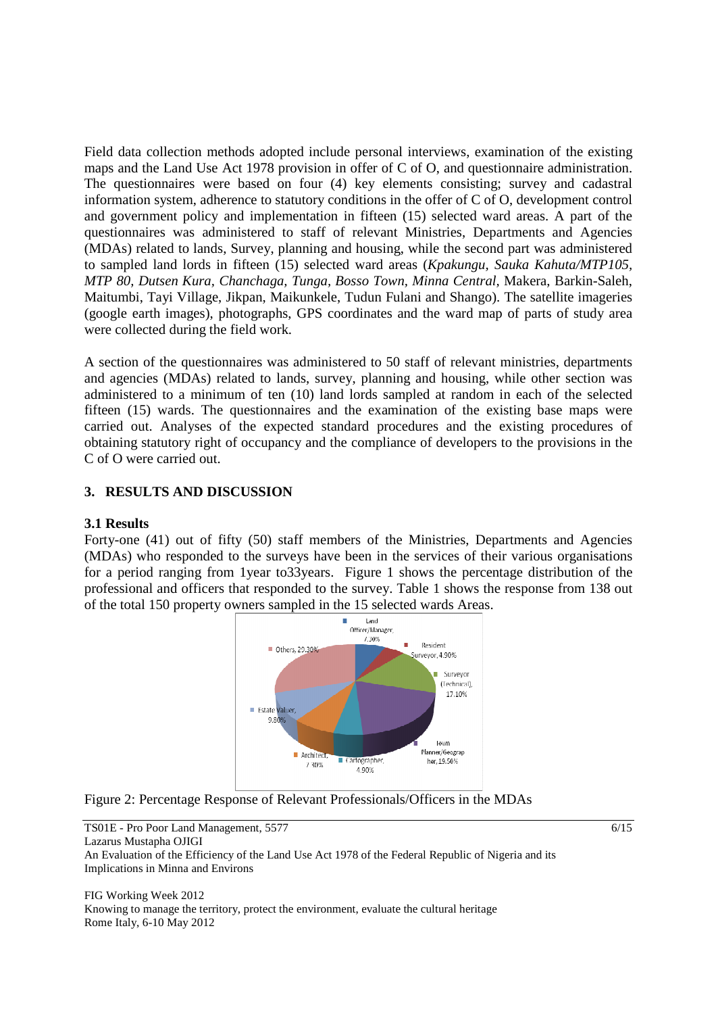Field data collection methods adopted include personal interviews, examination of the existing maps and the Land Use Act 1978 provision in offer of C of O, and questionnaire administration. The questionnaires were based on four (4) key elements consisting; survey and cadastral information system, adherence to statutory conditions in the offer of C of O, development control and government policy and implementation in fifteen (15) selected ward areas. A part of the questionnaires was administered to staff of relevant Ministries, Departments and Agencies (MDAs) related to lands, Survey, planning and housing, while the second part was administered to sampled land lords in fifteen (15) selected ward areas (*Kpakungu, Sauka Kahuta/MTP105, MTP 80, Dutsen Kura, Chanchaga, Tunga, Bosso Town, Minna Central,* Makera, Barkin-Saleh, Maitumbi, Tayi Village, Jikpan, Maikunkele, Tudun Fulani and Shango). The satellite imageries (google earth images), photographs, GPS coordinates and the ward map of parts of study area were collected during the field work.

A section of the questionnaires was administered to 50 staff of relevant ministries, departments and agencies (MDAs) related to lands, survey, planning and housing, while other section was administered to a minimum of ten (10) land lords sampled at random in each of the selected fifteen (15) wards. The questionnaires and the examination of the existing base maps were carried out. Analyses of the expected standard procedures and the existing procedures of obtaining statutory right of occupancy and the compliance of developers to the provisions in the C of O were carried out.

# **3. RESULTS AND DISCUSSION**

# **3.1 Results**

Forty-one (41) out of fifty (50) staff members of the Ministries, Departments and Agencies (MDAs) who responded to the surveys have been in the services of their various organisations for a period ranging from 1year to33years. Figure 1 shows the percentage distribution of the professional and officers that responded to the survey. Table 1 shows the response from 138 out of the total 150 property owners sampled in the 15 selected wards Areas.



Figure 2: Percentage Response of Relevant Professionals/Officers in the MDAs

TS01E - Pro Poor Land Management, 5577 6/15 Lazarus Mustapha OJIGI An Evaluation of the Efficiency of the Land Use Act 1978 of the Federal Republic of Nigeria and its Implications in Minna and Environs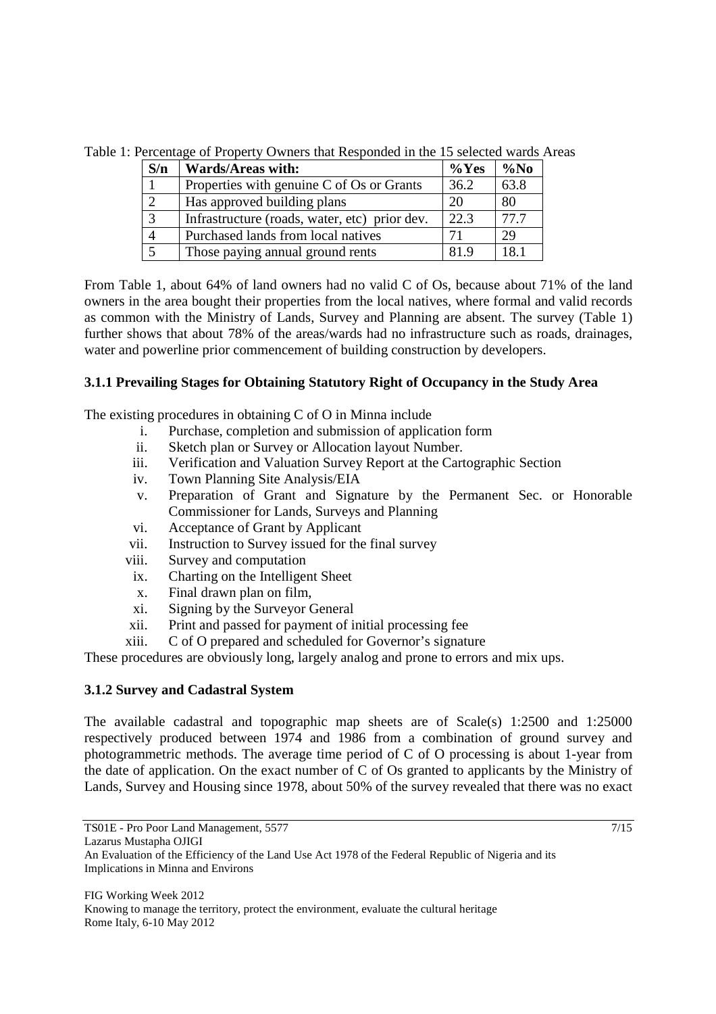Table 1: Percentage of Property Owners that Responded in the 15 selected wards Areas

| S/n            | <b>Wards/Areas with:</b>                      | $\%$ Yes | $\%$ No |
|----------------|-----------------------------------------------|----------|---------|
|                | Properties with genuine C of Os or Grants     | 36.2     | 63.8    |
| $\overline{2}$ | Has approved building plans                   | 20       | 80      |
| 3              | Infrastructure (roads, water, etc) prior dev. | 22.3     | 77.7    |
| $\overline{4}$ | Purchased lands from local natives            |          | 29      |
| 5              | Those paying annual ground rents              | 81.9     | 18.1    |

From Table 1, about 64% of land owners had no valid C of Os, because about 71% of the land owners in the area bought their properties from the local natives, where formal and valid records as common with the Ministry of Lands, Survey and Planning are absent. The survey (Table 1) further shows that about 78% of the areas/wards had no infrastructure such as roads, drainages, water and powerline prior commencement of building construction by developers.

# **3.1.1 Prevailing Stages for Obtaining Statutory Right of Occupancy in the Study Area**

The existing procedures in obtaining C of O in Minna include

- i. Purchase, completion and submission of application form
- ii. Sketch plan or Survey or Allocation layout Number.
- iii. Verification and Valuation Survey Report at the Cartographic Section
- iv. Town Planning Site Analysis/EIA
- v. Preparation of Grant and Signature by the Permanent Sec. or Honorable Commissioner for Lands, Surveys and Planning
- vi. Acceptance of Grant by Applicant
- vii. Instruction to Survey issued for the final survey
- viii. Survey and computation
	- ix. Charting on the Intelligent Sheet
	- x. Final drawn plan on film,
	- xi. Signing by the Surveyor General
- xii. Print and passed for payment of initial processing fee
- xiii. C of O prepared and scheduled for Governor's signature

These procedures are obviously long, largely analog and prone to errors and mix ups.

# **3.1.2 Survey and Cadastral System**

The available cadastral and topographic map sheets are of Scale(s) 1:2500 and 1:25000 respectively produced between 1974 and 1986 from a combination of ground survey and photogrammetric methods. The average time period of C of O processing is about 1-year from the date of application. On the exact number of C of Os granted to applicants by the Ministry of Lands, Survey and Housing since 1978, about 50% of the survey revealed that there was no exact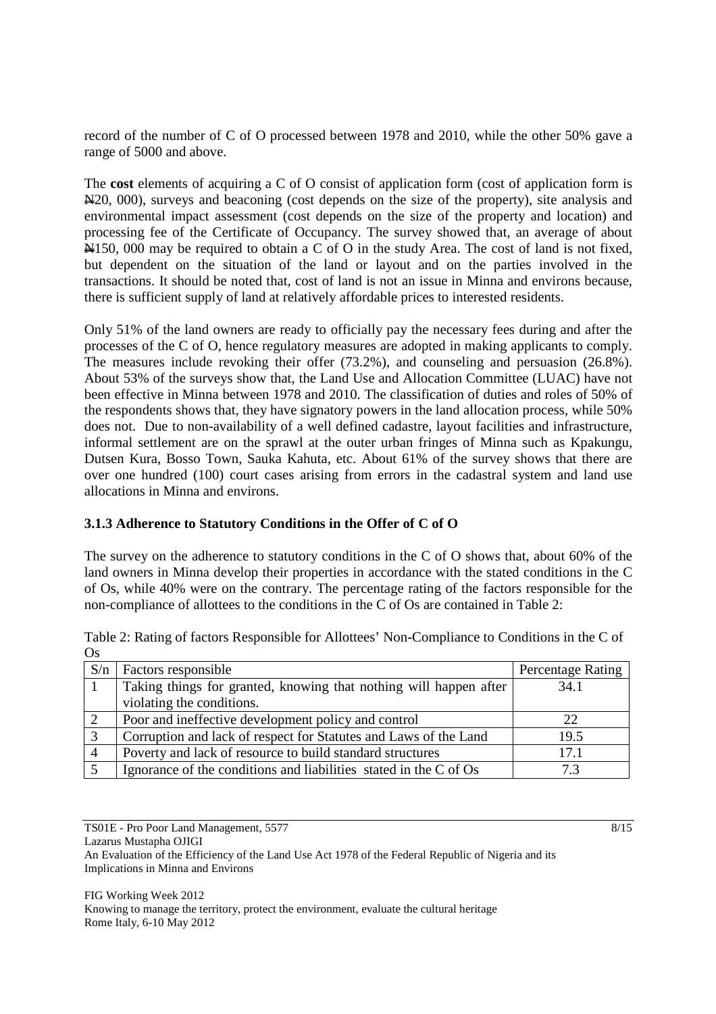record of the number of C of O processed between 1978 and 2010, while the other 50% gave a range of 5000 and above.

The **cost** elements of acquiring a C of O consist of application form (cost of application form is N20, 000), surveys and beaconing (cost depends on the size of the property), site analysis and environmental impact assessment (cost depends on the size of the property and location) and processing fee of the Certificate of Occupancy. The survey showed that, an average of about N150, 000 may be required to obtain a C of O in the study Area. The cost of land is not fixed, but dependent on the situation of the land or layout and on the parties involved in the transactions. It should be noted that, cost of land is not an issue in Minna and environs because, there is sufficient supply of land at relatively affordable prices to interested residents.

Only 51% of the land owners are ready to officially pay the necessary fees during and after the processes of the C of O, hence regulatory measures are adopted in making applicants to comply. The measures include revoking their offer (73.2%), and counseling and persuasion (26.8%). About 53% of the surveys show that, the Land Use and Allocation Committee (LUAC) have not been effective in Minna between 1978 and 2010. The classification of duties and roles of 50% of the respondents shows that, they have signatory powers in the land allocation process, while 50% does not. Due to non-availability of a well defined cadastre, layout facilities and infrastructure, informal settlement are on the sprawl at the outer urban fringes of Minna such as Kpakungu, Dutsen Kura, Bosso Town, Sauka Kahuta, etc. About 61% of the survey shows that there are over one hundred (100) court cases arising from errors in the cadastral system and land use allocations in Minna and environs.

# **3.1.3 Adherence to Statutory Conditions in the Offer of C of O**

The survey on the adherence to statutory conditions in the C of O shows that, about 60% of the land owners in Minna develop their properties in accordance with the stated conditions in the C of Os, while 40% were on the contrary. The percentage rating of the factors responsible for the non-compliance of allottees to the conditions in the C of Os are contained in Table 2:

| <b>UA</b> |                                                                   |                   |
|-----------|-------------------------------------------------------------------|-------------------|
| S/n       | Factors responsible                                               | Percentage Rating |
|           | Taking things for granted, knowing that nothing will happen after | 34.1              |
|           | violating the conditions.                                         |                   |
|           | Poor and ineffective development policy and control               | 22                |
|           | Corruption and lack of respect for Statutes and Laws of the Land  | 19.5              |
|           | Poverty and lack of resource to build standard structures         | 17.1              |
|           | Ignorance of the conditions and liabilities stated in the C of Os | 73                |

Table 2: Rating of factors Responsible for Allottees' Non-Compliance to Conditions in the C of  $\Omega$ 

TS01E - Pro Poor Land Management, 5577 8/15

Lazarus Mustapha OJIGI

An Evaluation of the Efficiency of the Land Use Act 1978 of the Federal Republic of Nigeria and its Implications in Minna and Environs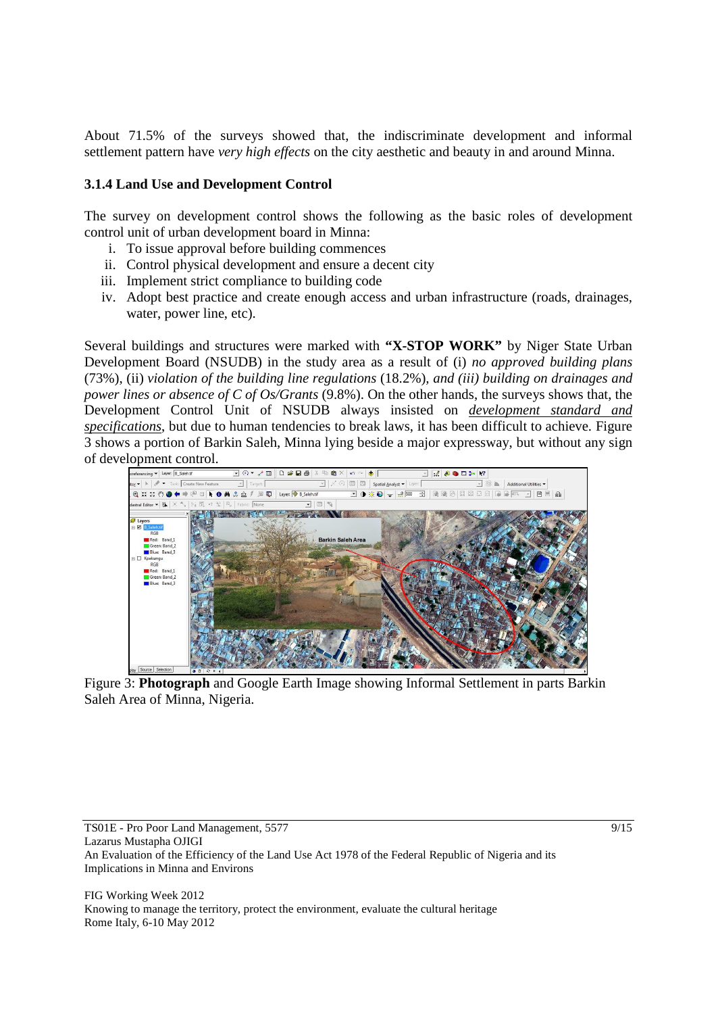About 71.5% of the surveys showed that, the indiscriminate development and informal settlement pattern have *very high effects* on the city aesthetic and beauty in and around Minna.

# **3.1.4 Land Use and Development Control**

The survey on development control shows the following as the basic roles of development control unit of urban development board in Minna:

- i. To issue approval before building commences
- ii. Control physical development and ensure a decent city
- iii. Implement strict compliance to building code
- iv. Adopt best practice and create enough access and urban infrastructure (roads, drainages, water, power line, etc).

Several buildings and structures were marked with **"X-STOP WORK"** by Niger State Urban Development Board (NSUDB) in the study area as a result of (i) *no approved building plans* (73%), (ii) *violation of the building line regulations* (18.2%)*, and (iii) building on drainages and power lines or absence of C of Os/Grants* (9.8%). On the other hands, the surveys shows that, the Development Control Unit of NSUDB always insisted on *development standard and specifications*, but due to human tendencies to break laws, it has been difficult to achieve. Figure 3 shows a portion of Barkin Saleh, Minna lying beside a major expressway, but without any sign of development control.



Figure 3: **Photograph** and Google Earth Image showing Informal Settlement in parts Barkin Saleh Area of Minna, Nigeria.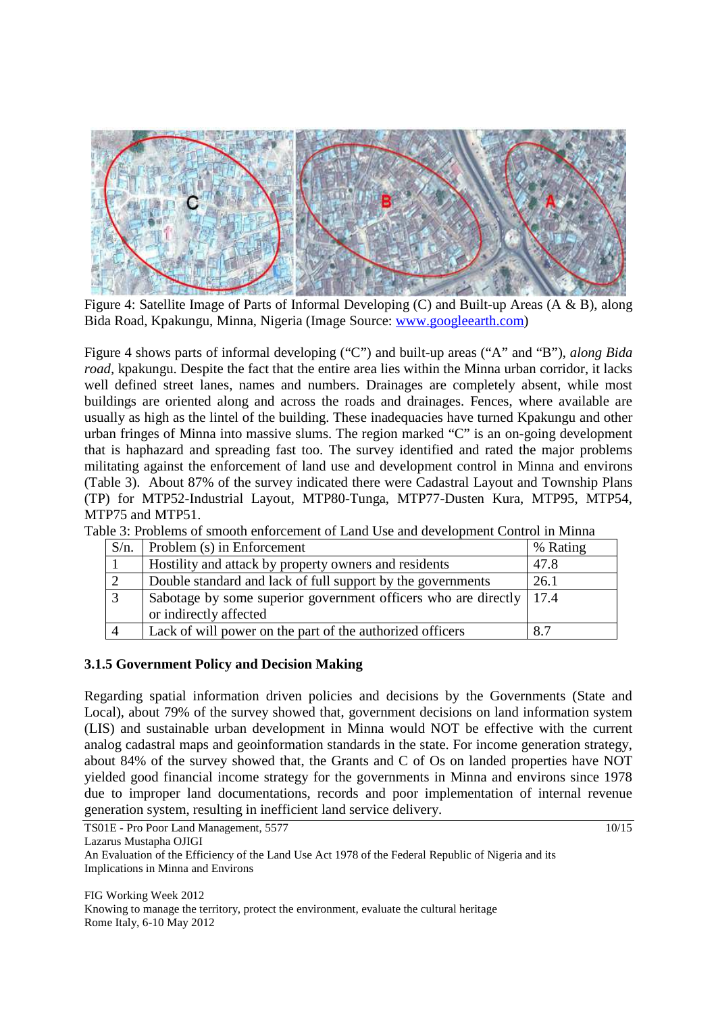

Figure 4: Satellite Image of Parts of Informal Developing (C) and Built-up Areas (A & B), along Bida Road, Kpakungu, Minna, Nigeria (Image Source: www.googleearth.com)

Figure 4 shows parts of informal developing ("C") and built-up areas ("A" and "B"), *along Bida road,* kpakungu. Despite the fact that the entire area lies within the Minna urban corridor, it lacks well defined street lanes, names and numbers. Drainages are completely absent, while most buildings are oriented along and across the roads and drainages. Fences, where available are usually as high as the lintel of the building. These inadequacies have turned Kpakungu and other urban fringes of Minna into massive slums. The region marked "C" is an on-going development that is haphazard and spreading fast too. The survey identified and rated the major problems militating against the enforcement of land use and development control in Minna and environs (Table 3). About 87% of the survey indicated there were Cadastral Layout and Township Plans (TP) for MTP52-Industrial Layout, MTP80-Tunga, MTP77-Dusten Kura, MTP95, MTP54, MTP75 and MTP51.

Table 3: Problems of smooth enforcement of Land Use and development Control in Minna

| $S/n$ . | Problem (s) in Enforcement                                            | % Rating |
|---------|-----------------------------------------------------------------------|----------|
|         | Hostility and attack by property owners and residents                 | 47.8     |
|         | Double standard and lack of full support by the governments           | 26.1     |
|         | Sabotage by some superior government officers who are directly   17.4 |          |
|         | or indirectly affected                                                |          |
|         | Lack of will power on the part of the authorized officers             | 8.7      |

# **3.1.5 Government Policy and Decision Making**

Regarding spatial information driven policies and decisions by the Governments (State and Local), about 79% of the survey showed that, government decisions on land information system (LIS) and sustainable urban development in Minna would NOT be effective with the current analog cadastral maps and geoinformation standards in the state. For income generation strategy, about 84% of the survey showed that, the Grants and C of Os on landed properties have NOT yielded good financial income strategy for the governments in Minna and environs since 1978 due to improper land documentations, records and poor implementation of internal revenue generation system, resulting in inefficient land service delivery.

TS01E - Pro Poor Land Management, 5577 10/15

Lazarus Mustapha OJIGI

An Evaluation of the Efficiency of the Land Use Act 1978 of the Federal Republic of Nigeria and its Implications in Minna and Environs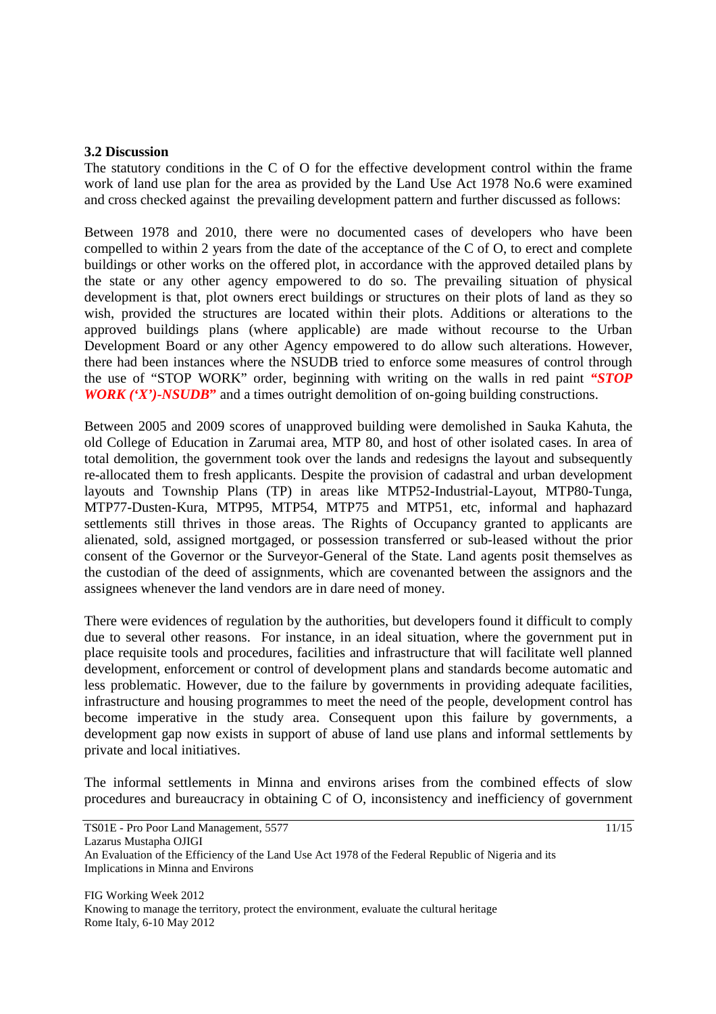#### **3.2 Discussion**

The statutory conditions in the C of O for the effective development control within the frame work of land use plan for the area as provided by the Land Use Act 1978 No.6 were examined and cross checked against the prevailing development pattern and further discussed as follows:

Between 1978 and 2010, there were no documented cases of developers who have been compelled to within 2 years from the date of the acceptance of the C of O, to erect and complete buildings or other works on the offered plot, in accordance with the approved detailed plans by the state or any other agency empowered to do so. The prevailing situation of physical development is that, plot owners erect buildings or structures on their plots of land as they so wish, provided the structures are located within their plots. Additions or alterations to the approved buildings plans (where applicable) are made without recourse to the Urban Development Board or any other Agency empowered to do allow such alterations. However, there had been instances where the NSUDB tried to enforce some measures of control through the use of "STOP WORK" order, beginning with writing on the walls in red paint *"STOP WORK ('X')-NSUDB***"** and a times outright demolition of on-going building constructions.

Between 2005 and 2009 scores of unapproved building were demolished in Sauka Kahuta, the old College of Education in Zarumai area, MTP 80, and host of other isolated cases. In area of total demolition, the government took over the lands and redesigns the layout and subsequently re-allocated them to fresh applicants. Despite the provision of cadastral and urban development layouts and Township Plans (TP) in areas like MTP52-Industrial-Layout, MTP80-Tunga, MTP77-Dusten-Kura, MTP95, MTP54, MTP75 and MTP51, etc, informal and haphazard settlements still thrives in those areas. The Rights of Occupancy granted to applicants are alienated, sold, assigned mortgaged, or possession transferred or sub-leased without the prior consent of the Governor or the Surveyor-General of the State. Land agents posit themselves as the custodian of the deed of assignments, which are covenanted between the assignors and the assignees whenever the land vendors are in dare need of money.

There were evidences of regulation by the authorities, but developers found it difficult to comply due to several other reasons. For instance, in an ideal situation, where the government put in place requisite tools and procedures, facilities and infrastructure that will facilitate well planned development, enforcement or control of development plans and standards become automatic and less problematic. However, due to the failure by governments in providing adequate facilities, infrastructure and housing programmes to meet the need of the people, development control has become imperative in the study area. Consequent upon this failure by governments, a development gap now exists in support of abuse of land use plans and informal settlements by private and local initiatives.

The informal settlements in Minna and environs arises from the combined effects of slow procedures and bureaucracy in obtaining C of O, inconsistency and inefficiency of government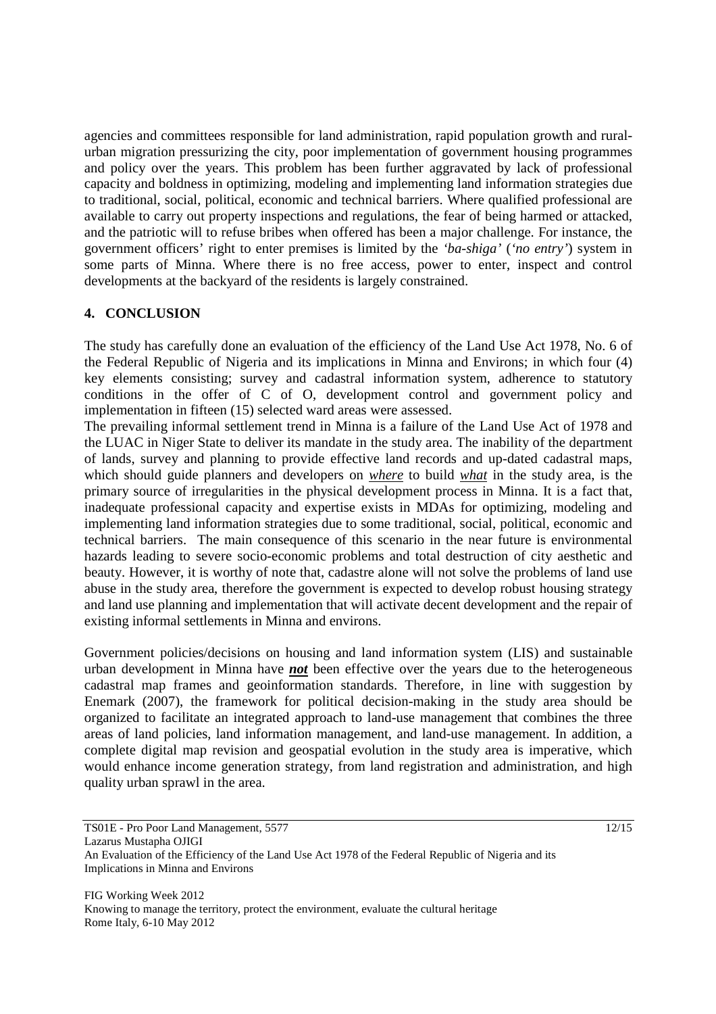agencies and committees responsible for land administration, rapid population growth and ruralurban migration pressurizing the city, poor implementation of government housing programmes and policy over the years. This problem has been further aggravated by lack of professional capacity and boldness in optimizing, modeling and implementing land information strategies due to traditional, social, political, economic and technical barriers. Where qualified professional are available to carry out property inspections and regulations, the fear of being harmed or attacked, and the patriotic will to refuse bribes when offered has been a major challenge. For instance, the government officers' right to enter premises is limited by the *'ba-shiga'* (*'no entry'*) system in some parts of Minna. Where there is no free access, power to enter, inspect and control developments at the backyard of the residents is largely constrained.

# **4. CONCLUSION**

The study has carefully done an evaluation of the efficiency of the Land Use Act 1978, No. 6 of the Federal Republic of Nigeria and its implications in Minna and Environs; in which four (4) key elements consisting; survey and cadastral information system, adherence to statutory conditions in the offer of C of O, development control and government policy and implementation in fifteen (15) selected ward areas were assessed.

The prevailing informal settlement trend in Minna is a failure of the Land Use Act of 1978 and the LUAC in Niger State to deliver its mandate in the study area. The inability of the department of lands, survey and planning to provide effective land records and up-dated cadastral maps, which should guide planners and developers on *where* to build *what* in the study area, is the primary source of irregularities in the physical development process in Minna. It is a fact that, inadequate professional capacity and expertise exists in MDAs for optimizing, modeling and implementing land information strategies due to some traditional, social, political, economic and technical barriers. The main consequence of this scenario in the near future is environmental hazards leading to severe socio-economic problems and total destruction of city aesthetic and beauty. However, it is worthy of note that, cadastre alone will not solve the problems of land use abuse in the study area, therefore the government is expected to develop robust housing strategy and land use planning and implementation that will activate decent development and the repair of existing informal settlements in Minna and environs.

Government policies/decisions on housing and land information system (LIS) and sustainable urban development in Minna have *not* been effective over the years due to the heterogeneous cadastral map frames and geoinformation standards. Therefore, in line with suggestion by Enemark (2007), the framework for political decision-making in the study area should be organized to facilitate an integrated approach to land-use management that combines the three areas of land policies, land information management, and land-use management. In addition, a complete digital map revision and geospatial evolution in the study area is imperative, which would enhance income generation strategy, from land registration and administration, and high quality urban sprawl in the area.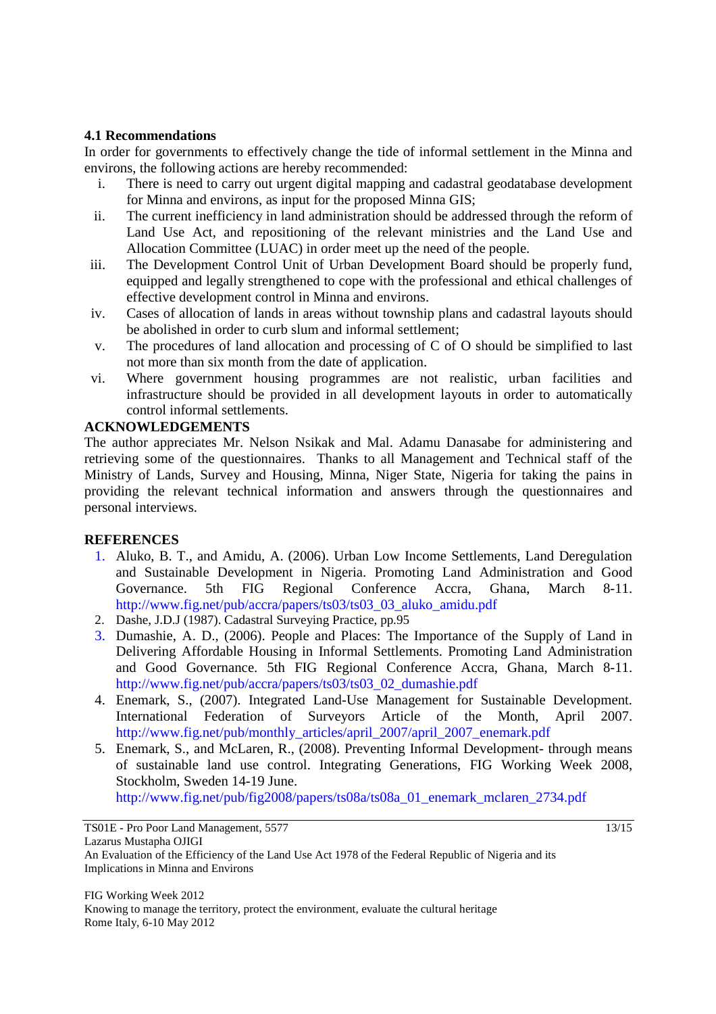# **4.1 Recommendations**

In order for governments to effectively change the tide of informal settlement in the Minna and environs, the following actions are hereby recommended:

- i. There is need to carry out urgent digital mapping and cadastral geodatabase development for Minna and environs, as input for the proposed Minna GIS;
- ii. The current inefficiency in land administration should be addressed through the reform of Land Use Act, and repositioning of the relevant ministries and the Land Use and Allocation Committee (LUAC) in order meet up the need of the people.
- iii. The Development Control Unit of Urban Development Board should be properly fund, equipped and legally strengthened to cope with the professional and ethical challenges of effective development control in Minna and environs.
- iv. Cases of allocation of lands in areas without township plans and cadastral layouts should be abolished in order to curb slum and informal settlement;
- v. The procedures of land allocation and processing of C of O should be simplified to last not more than six month from the date of application.
- vi. Where government housing programmes are not realistic, urban facilities and infrastructure should be provided in all development layouts in order to automatically control informal settlements.

# **ACKNOWLEDGEMENTS**

The author appreciates Mr. Nelson Nsikak and Mal. Adamu Danasabe for administering and retrieving some of the questionnaires. Thanks to all Management and Technical staff of the Ministry of Lands, Survey and Housing, Minna, Niger State, Nigeria for taking the pains in providing the relevant technical information and answers through the questionnaires and personal interviews.

# **REFERENCES**

- 1. Aluko, B. T., and Amidu, A. (2006). Urban Low Income Settlements, Land Deregulation and Sustainable Development in Nigeria. Promoting Land Administration and Good Governance. 5th FIG Regional Conference Accra, Ghana, March 8-11. http://www.fig.net/pub/accra/papers/ts03/ts03\_03\_aluko\_amidu.pdf
- 2. Dashe, J.D.J (1987). Cadastral Surveying Practice, pp.95
- 3. Dumashie, A. D., (2006). People and Places: The Importance of the Supply of Land in Delivering Affordable Housing in Informal Settlements. Promoting Land Administration and Good Governance. 5th FIG Regional Conference Accra, Ghana, March 8-11. http://www.fig.net/pub/accra/papers/ts03/ts03\_02\_dumashie.pdf
- 4. Enemark, S., (2007). Integrated Land-Use Management for Sustainable Development. International Federation of Surveyors Article of the Month, April 2007. http://www.fig.net/pub/monthly\_articles/april\_2007/april\_2007\_enemark.pdf
- 5. Enemark, S., and McLaren, R., (2008). Preventing Informal Development- through means of sustainable land use control. Integrating Generations, FIG Working Week 2008, Stockholm, Sweden 14-19 June.

http://www.fig.net/pub/fig2008/papers/ts08a/ts08a\_01\_enemark\_mclaren\_2734.pdf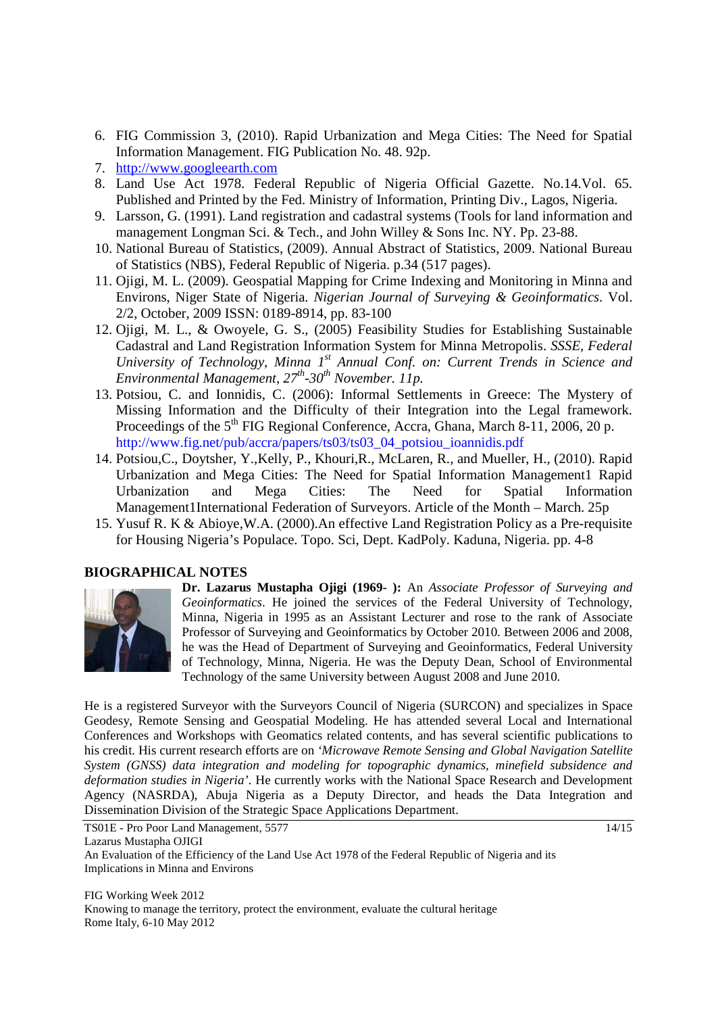- 6. FIG Commission 3, (2010). Rapid Urbanization and Mega Cities: The Need for Spatial Information Management. FIG Publication No. 48. 92p.
- 7. http://www.googleearth.com
- 8. Land Use Act 1978. Federal Republic of Nigeria Official Gazette. No.14.Vol. 65. Published and Printed by the Fed. Ministry of Information, Printing Div., Lagos, Nigeria.
- 9. Larsson, G. (1991). Land registration and cadastral systems (Tools for land information and management Longman Sci. & Tech., and John Willey & Sons Inc. NY. Pp. 23-88.
- 10. National Bureau of Statistics, (2009). Annual Abstract of Statistics, 2009. National Bureau of Statistics (NBS), Federal Republic of Nigeria. p.34 (517 pages).
- 11. Ojigi, M. L. (2009). Geospatial Mapping for Crime Indexing and Monitoring in Minna and Environs, Niger State of Nigeria. *Nigerian Journal of Surveying & Geoinformatics*. Vol. 2/2, October, 2009 ISSN: 0189-8914, pp. 83-100
- 12. Ojigi, M. L., & Owoyele, G. S., (2005) Feasibility Studies for Establishing Sustainable Cadastral and Land Registration Information System for Minna Metropolis. *SSSE, Federal University of Technology, Minna 1st Annual Conf. on: Current Trends in Science and Environmental Management, 27th-30th November. 11p.*
- 13. Potsiou, C. and Ionnidis, C. (2006): Informal Settlements in Greece: The Mystery of Missing Information and the Difficulty of their Integration into the Legal framework. Proceedings of the 5<sup>th</sup> FIG Regional Conference, Accra, Ghana, March 8-11, 2006, 20 p. http://www.fig.net/pub/accra/papers/ts03/ts03\_04\_potsiou\_ioannidis.pdf
- 14. Potsiou,C., Doytsher, Y.,Kelly, P., Khouri,R., McLaren, R., and Mueller, H., (2010). Rapid Urbanization and Mega Cities: The Need for Spatial Information Management1 Rapid Urbanization and Mega Cities: The Need for Spatial Information Management1International Federation of Surveyors. Article of the Month – March. 25p
- 15. Yusuf R. K & Abioye,W.A. (2000).An effective Land Registration Policy as a Pre-requisite for Housing Nigeria's Populace. Topo. Sci, Dept. KadPoly. Kaduna, Nigeria. pp. 4-8

# **BIOGRAPHICAL NOTES**



**Dr. Lazarus Mustapha Ojigi (1969- ):** An *Associate Professor of Surveying and Geoinformatics*. He joined the services of the Federal University of Technology, Minna, Nigeria in 1995 as an Assistant Lecturer and rose to the rank of Associate Professor of Surveying and Geoinformatics by October 2010. Between 2006 and 2008, he was the Head of Department of Surveying and Geoinformatics, Federal University of Technology, Minna, Nigeria. He was the Deputy Dean, School of Environmental Technology of the same University between August 2008 and June 2010.

He is a registered Surveyor with the Surveyors Council of Nigeria (SURCON) and specializes in Space Geodesy, Remote Sensing and Geospatial Modeling. He has attended several Local and International Conferences and Workshops with Geomatics related contents, and has several scientific publications to his credit. His current research efforts are on *'Microwave Remote Sensing and Global Navigation Satellite System (GNSS) data integration and modeling for topographic dynamics, minefield subsidence and deformation studies in Nigeria'*. He currently works with the National Space Research and Development Agency (NASRDA), Abuja Nigeria as a Deputy Director, and heads the Data Integration and Dissemination Division of the Strategic Space Applications Department.

TS01E - Pro Poor Land Management, 5577 14/15 Lazarus Mustapha OJIGI An Evaluation of the Efficiency of the Land Use Act 1978 of the Federal Republic of Nigeria and its Implications in Minna and Environs